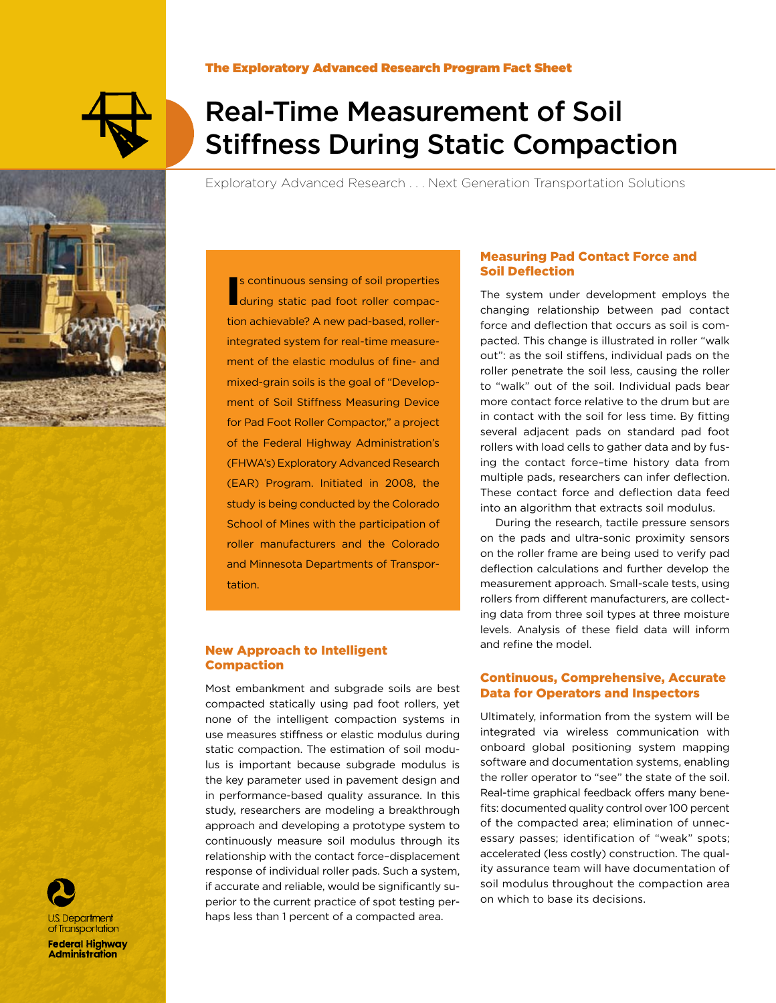

J.S. Department of Transportation **Federal Highway Administration** 

### The Exploratory Advanced Research Program Fact Sheet

# Real-Time Measurement of Soil Stiffness During Static Compaction

Exploratory Advanced Research . . . Next Generation Transportation Solutions

In s continuous sensing of soil properties<br> **Example 3** during static pad foot roller compacs continuous sensing of soil properties tion achievable? A new pad-based, rollerintegrated system for real-time measurement of the elastic modulus of fine- and mixed-grain soils is the goal of "Development of Soil Stiffness Measuring Device for Pad Foot Roller Compactor," a project of the Federal Highway Administration's (FHWA's) Exploratory Advanced Research (EAR) Program. Initiated in 2008, the study is being conducted by the Colorado School of Mines with the participation of roller manufacturers and the Colorado and Minnesota Departments of Transportation.

### New Approach to Intelligent Compaction

Most embankment and subgrade soils are best compacted statically using pad foot rollers, yet none of the intelligent compaction systems in use measures stiffness or elastic modulus during static compaction. The estimation of soil modulus is important because subgrade modulus is the key parameter used in pavement design and in performance-based quality assurance. In this study, researchers are modeling a breakthrough approach and developing a prototype system to continuously measure soil modulus through its relationship with the contact force–displacement response of individual roller pads. Such a system, if accurate and reliable, would be significantly superior to the current practice of spot testing perhaps less than 1 percent of a compacted area.

## Measuring Pad Contact Force and Soil Deflection

The system under development employs the changing relationship between pad contact force and deflection that occurs as soil is compacted. This change is illustrated in roller "walk out": as the soil stiffens, individual pads on the roller penetrate the soil less, causing the roller to "walk" out of the soil. Individual pads bear more contact force relative to the drum but are in contact with the soil for less time. By fitting several adjacent pads on standard pad foot rollers with load cells to gather data and by fusing the contact force–time history data from multiple pads, researchers can infer deflection. These contact force and deflection data feed into an algorithm that extracts soil modulus.

During the research, tactile pressure sensors on the pads and ultra-sonic proximity sensors on the roller frame are being used to verify pad deflection calculations and further develop the measurement approach. Small-scale tests, using rollers from different manufacturers, are collecting data from three soil types at three moisture levels. Analysis of these field data will inform and refine the model.

# Continuous, Comprehensive, Accurate Data for Operators and Inspectors

Ultimately, information from the system will be integrated via wireless communication with onboard global positioning system mapping software and documentation systems, enabling the roller operator to "see" the state of the soil. Real-time graphical feedback offers many benefits: documented quality control over 100 percent of the compacted area; elimination of unnecessary passes; identification of "weak" spots; accelerated (less costly) construction. The quality assurance team will have documentation of soil modulus throughout the compaction area on which to base its decisions.